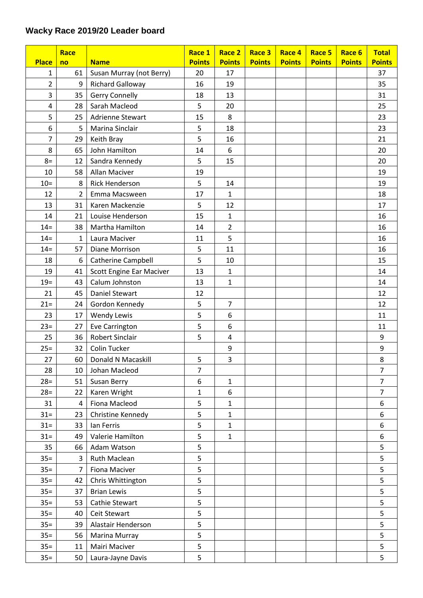## **Wacky Race 2019/20 Leader board**

|                | Race           |                           | Race 1        | Race 2         | Race 3        | Race 4        | Race 5        | Race 6        | <b>Total</b>     |
|----------------|----------------|---------------------------|---------------|----------------|---------------|---------------|---------------|---------------|------------------|
| <b>Place</b>   | no             | <b>Name</b>               | <b>Points</b> | <b>Points</b>  | <b>Points</b> | <b>Points</b> | <b>Points</b> | <b>Points</b> | <b>Points</b>    |
| $\mathbf{1}$   | 61             | Susan Murray (not Berry)  | 20            | 17             |               |               |               |               | 37               |
| $\overline{2}$ | 9              | <b>Richard Galloway</b>   | 16            | 19             |               |               |               |               | 35               |
| 3              | 35             | <b>Gerry Connelly</b>     | 18            | 13             |               |               |               |               | 31               |
| 4              | 28             | Sarah Macleod             | 5             | 20             |               |               |               |               | 25               |
| 5              | 25             | Adrienne Stewart          | 15            | 8              |               |               |               |               | 23               |
| 6              | 5              | Marina Sinclair           | 5             | 18             |               |               |               |               | 23               |
| $\overline{7}$ | 29             | Keith Bray                | 5             | 16             |               |               |               |               | 21               |
| 8              | 65             | John Hamilton             | 14            | 6              |               |               |               |               | 20               |
| $8=$           | 12             | Sandra Kennedy            | 5             | 15             |               |               |               |               | 20               |
| 10             | 58             | Allan Maciver             | 19            |                |               |               |               |               | 19               |
| $10=$          | 8              | <b>Rick Henderson</b>     | 5             | 14             |               |               |               |               | 19               |
| 12             | $\overline{2}$ | Emma Macsween             | 17            | $\mathbf{1}$   |               |               |               |               | 18               |
| 13             | 31             | Karen Mackenzie           | 5             | 12             |               |               |               |               | 17               |
| 14             | 21             | Louise Henderson          | 15            | $\mathbf{1}$   |               |               |               |               | 16               |
| $14 =$         | 38             | Martha Hamilton           | 14            | $\overline{2}$ |               |               |               |               | 16               |
| $14 =$         | 1              | Laura Maciver             | 11            | 5              |               |               |               |               | 16               |
| $14 =$         | 57             | Diane Morrison            | 5             | 11             |               |               |               |               | 16               |
| 18             | 6              | <b>Catherine Campbell</b> | 5             | 10             |               |               |               |               | 15               |
| 19             | 41             | Scott Engine Ear Maciver  | 13            | $\mathbf 1$    |               |               |               |               | 14               |
| $19=$          | 43             | Calum Johnston            | 13            | $\mathbf{1}$   |               |               |               |               | 14               |
| 21             | 45             | <b>Daniel Stewart</b>     | 12            |                |               |               |               |               | 12               |
| $21 =$         | 24             | Gordon Kennedy            | 5             | $\overline{7}$ |               |               |               |               | 12               |
| 23             | 17             | <b>Wendy Lewis</b>        | 5             | 6              |               |               |               |               | 11               |
| $23=$          | 27             | Eve Carrington            | 5             | 6              |               |               |               |               | 11               |
| 25             | 36             | <b>Robert Sinclair</b>    | 5             | $\pmb{4}$      |               |               |               |               | 9                |
| $25=$          | 32             | Colin Tucker              |               | 9              |               |               |               |               | $\boldsymbol{9}$ |
| 27             | 60             | Donald N Macaskill        | 5             | 3              |               |               |               |               | 8                |
| 28             | 10             | Johan Macleod             | 7             |                |               |               |               |               | 7                |
| $28=$          | 51             | Susan Berry               | 6             | $\mathbf{1}$   |               |               |               |               | $\overline{7}$   |
| $28=$          | 22             | Karen Wright              | 1             | 6              |               |               |               |               | $\overline{7}$   |
| 31             | 4              | Fiona Macleod             | 5             | 1              |               |               |               |               | 6                |
| $31 =$         | 23             | Christine Kennedy         | 5             | $\mathbf{1}$   |               |               |               |               | 6                |
| $31 =$         | 33             | Ian Ferris                | 5             | $\mathbf{1}$   |               |               |               |               | 6                |
| $31 =$         | 49             | Valerie Hamilton          | 5             | $\mathbf{1}$   |               |               |               |               | 6                |
| 35             | 66             | Adam Watson               | 5             |                |               |               |               |               | 5                |
| $35 =$         | 3              | Ruth Maclean              | 5             |                |               |               |               |               | 5                |
| $35 =$         | $\overline{7}$ | Fiona Maciver             | 5             |                |               |               |               |               | 5                |
| $35 =$         | 42             | Chris Whittington         | 5             |                |               |               |               |               | 5                |
| $35 =$         | 37             | <b>Brian Lewis</b>        | 5             |                |               |               |               |               | 5                |
| $35 =$         | 53             | Cathie Stewart            | 5             |                |               |               |               |               | 5                |
| $35 =$         | 40             | Ceit Stewart              | 5             |                |               |               |               |               | 5                |
| $35 =$         | 39             | Alastair Henderson        | 5             |                |               |               |               |               | 5                |
| $35 =$         | 56             | Marina Murray             | 5             |                |               |               |               |               | 5                |
| $35 =$         | 11             | Mairi Maciver             | 5             |                |               |               |               |               | 5                |
| $35 =$         | 50             | Laura-Jayne Davis         | 5             |                |               |               |               |               | 5                |